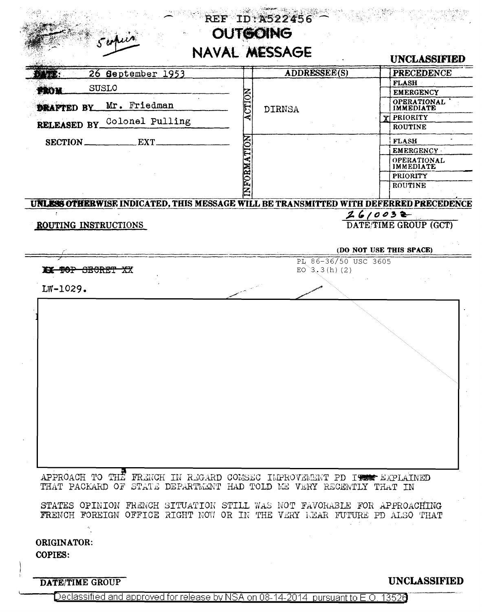|                      |                                                                                                                                                    |            |                      | <b>UNCLASSIFIED</b>                                                                              |
|----------------------|----------------------------------------------------------------------------------------------------------------------------------------------------|------------|----------------------|--------------------------------------------------------------------------------------------------|
|                      | 26 September 1953                                                                                                                                  |            | ADDRESSEE(S)         | <b>PRECEDENCE</b>                                                                                |
| FROM                 | <b>SUSLO</b>                                                                                                                                       |            |                      | <b>FLASH</b><br><b>EMERGENCY</b>                                                                 |
|                      | Mr. Friedman                                                                                                                                       | CTIO       |                      | OPERATIONAL                                                                                      |
| <b>DRAFTED BY</b>    |                                                                                                                                                    |            | <b>DIRNSA</b>        | <b>IMMEDIATE</b><br><b>PRIORITY</b>                                                              |
|                      | RELEASED BY_Colonel Pulling                                                                                                                        |            |                      | <b>ROUTINE</b>                                                                                   |
|                      | EXT.                                                                                                                                               |            |                      | <b>FLASH</b>                                                                                     |
| SECTION              |                                                                                                                                                    |            |                      | <b>EMERGENCY</b>                                                                                 |
|                      |                                                                                                                                                    | NFORMATION |                      | OPERATIONAL                                                                                      |
|                      |                                                                                                                                                    |            |                      | <b>IMMEDIATE</b><br>PRIORITY                                                                     |
|                      |                                                                                                                                                    |            |                      | ROUTINE                                                                                          |
|                      |                                                                                                                                                    |            |                      | UNLESS OTHERWISE INDICATED, THIS MESSAGE WILL BE TRANSMITTED WITH DEFERRED PRECEDENCE<br>2610032 |
| ROUTING INSTRUCTIONS |                                                                                                                                                    |            |                      | DATE/TIME GROUP (GCT)                                                                            |
|                      |                                                                                                                                                    |            |                      |                                                                                                  |
|                      |                                                                                                                                                    |            |                      | (DO NOT USE THIS SPACE)                                                                          |
|                      |                                                                                                                                                    |            | PL 86-36/50 USC 3605 |                                                                                                  |
| XX DOP SECRET XX     |                                                                                                                                                    |            | EO $3, 3(h)$ (2)     |                                                                                                  |
| LW-1029.             |                                                                                                                                                    |            |                      |                                                                                                  |
|                      |                                                                                                                                                    |            |                      |                                                                                                  |
|                      |                                                                                                                                                    |            |                      |                                                                                                  |
|                      |                                                                                                                                                    |            |                      |                                                                                                  |
|                      |                                                                                                                                                    |            |                      |                                                                                                  |
|                      |                                                                                                                                                    |            |                      |                                                                                                  |
|                      |                                                                                                                                                    |            |                      |                                                                                                  |
|                      |                                                                                                                                                    |            |                      |                                                                                                  |
|                      |                                                                                                                                                    |            |                      |                                                                                                  |
|                      |                                                                                                                                                    |            |                      |                                                                                                  |
|                      |                                                                                                                                                    |            |                      |                                                                                                  |
|                      |                                                                                                                                                    |            |                      |                                                                                                  |
|                      |                                                                                                                                                    |            |                      |                                                                                                  |
|                      |                                                                                                                                                    |            |                      |                                                                                                  |
|                      |                                                                                                                                                    |            |                      |                                                                                                  |
|                      |                                                                                                                                                    |            |                      |                                                                                                  |
|                      | APPROACH TO THE FRENCH IN REGARD COMSEC IMPROVEMENT PD IT EXPLAINED<br>THAT PACKARD OF STATE DEPARTMENT HAD TOLD ME VERY RECENTLY THAT IN          |            |                      |                                                                                                  |
|                      |                                                                                                                                                    |            |                      |                                                                                                  |
|                      | STATES OPINION FRENCH SITUATION STILL WAS NOT FAVORABLE FOR APPROACHING<br>FRENCH FOREIGN OFFICE RIGHT NOW OR IN THE VERY LEAR FUTURE PD ALSO THAT |            |                      |                                                                                                  |

Declassified and approved for release by NSA on 08-14-2014 pursuant to E.O. 13520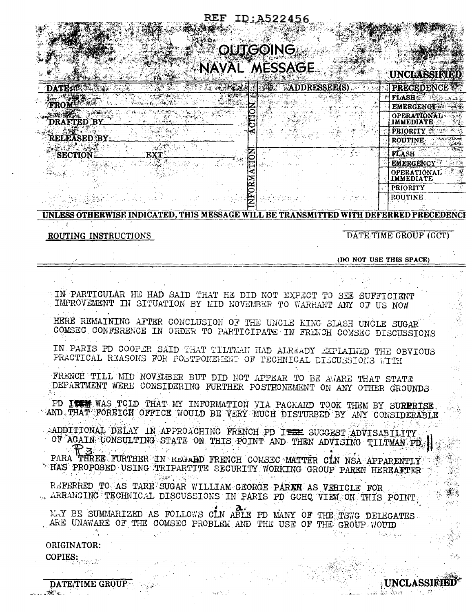### ID:A522456

## **IKCOING! MESSAGE**

| <b>CONTRACTORS STATE AND ARTISTS</b><br>计码 计字符<br><b>CONTRACTOR</b> |                                        |
|---------------------------------------------------------------------|----------------------------------------|
| <b>MDDRESSEE(S)</b><br>DATE: WEBSTER<br>2012年发展的                    | <b>PRECEDENCE</b>                      |
|                                                                     | <b>FLASH</b>                           |
|                                                                     | <b>EMERGENCY</b>                       |
| <b>RAFTED BY</b>                                                    | <b>OPERATIONAL</b><br><b>IMMEDIATE</b> |
|                                                                     | <b>PRIORITY</b>                        |
| RELEASED BY_                                                        | <b>ROUTINE</b>                         |
| SECTION<br>EXT.                                                     | <b>FLASH</b>                           |
|                                                                     | <b>EMERGENCY</b>                       |
|                                                                     | <b>OPERATIONAL</b><br>IMMEDIATE        |
|                                                                     | <b>PRIORITY</b>                        |
|                                                                     | <b>ROUTINE</b>                         |

#### **IINLESS OTHERWISE INDICATED. THIS MESSAGE WILL BE TRANSMITTED WITH DEFERRED PRECEDENCH**

ROUTING INSTRUCTIONS

DATETIME GROUP (GCT)

(DO NOT USE THIS SPACE)

IN PARTICULAR HE HAD SAID THAT HE DID NOT EXPECT TO SEE SUFFICIENT IMPROVEMENT IN SITUATION BY MID NOVEMBER TO WARRANT ANY OF US NOW HERE REMAINING AFTER CONCLUSION OF THE UNCLE KING SLASH UNCLE SUGAR COMSEC CONFERENCE IN ORDER TO PARTICIPATE IN FRENCH COMSEC DISCUSSIONS IN PARIS PD COOPER SAID THAT TILTMAN HAD ALREADY EXPLAINED THE OBVIOUS PRACTICAL REASONS FOR POSTPONEMENT OF TECHNICAL DISCUSSIONS WITH FRENCE TILL MID NOVEMBER BUT DID NOT APPEAR TO BE AWARE THAT STATE DEPARTMENT WERE CONSIDERING FURTHER POSTFONEMENT ON ANY OTHER GROUNDS PD ITS WAS TOLD THAT MY INFORMATION VIA PACKARD TOOK THEM BY SURPRISE. AND THAT FOREIGN OFFICE WOULD BE VERY MUCH DISTURBED BY ANY CONSIDERABLE ADDITIONAL DELAY IN APPROACHING FRENCH PD ITEH SUGGEST ADVISABILITY OF AGAIN CONSULTING STATE ON THIS POINT AND THEN ADVISING TILTMAN PD PARA THREE FURTHER IN REGARD FRENCH COMSEC MATTER CIN NSA APPARENTLY \* HAS PROPOSED USING TRIPARTITE SECURITY WORKING GROUP PAREN HEREAFTER Supri 19 REFERRED TO AS TARE SUGAR WILLIAM GEORGE PAREN AS VEHICLE FOR . ARRANGING TECHNICAL DISCUSSIONS IN PARIS PD GCHQ VIEW ON THIS POINT MAY BE SUMMARIZED AS FOLLOWS CIN ABLE PD MANY OF THE TSWG DELEGATES ARE UNAWARE OF THE COMSEC PROBLEM AND THE USE OF THE GROUP NOULD ORIGINATOR: COPIES:

DATE/TIME GROUP  $\mathcal{D} \mathcal{C}$  .